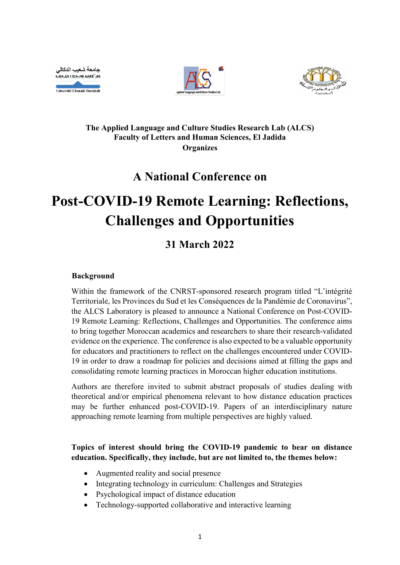جامعة شعيب الدكالي **HOA.LIE I CIA.SO AARR".HE** Université Chouaïb Doukkali





# **The Applied Language and Culture Studies Research Lab (ALCS) Faculty of Letters and Human Sciences, El Jadida Organizes**

# **A National Conference on**

# **Post-COVID-19 Remote Learning: Reflections, Challenges and Opportunities**

# **31 March 2022**

## **Background**

Within the framework of the CNRST-sponsored research program titled "L'intégrité Territoriale, les Provinces du Sud et les Conséquences de la Pandémie de Coronavirus", the ALCS Laboratory is pleased to announce a National Conference on Post-COVID-19 Remote Learning: Reflections, Challenges and Opportunities. The conference aims to bring together Moroccan academics and researchers to share their research-validated evidence on the experience. The conference is also expected to be a valuable opportunity for educators and practitioners to reflect on the challenges encountered under COVID-19 in order to draw a roadmap for policies and decisions aimed at filling the gaps and consolidating remote learning practices in Moroccan higher education institutions.

Authors are therefore invited to submit abstract proposals of studies dealing with theoretical and/or empirical phenomena relevant to how distance education practices may be further enhanced post-COVID-19. Papers of an interdisciplinary nature approaching remote learning from multiple perspectives are highly valued.

## **Topics of interest should bring the COVID-19 pandemic to bear on distance education. Specifically, they include, but are not limited to, the themes below:**

- Augmented reality and social presence
- Integrating technology in curriculum: Challenges and Strategies
- Psychological impact of distance education
- Technology-supported collaborative and interactive learning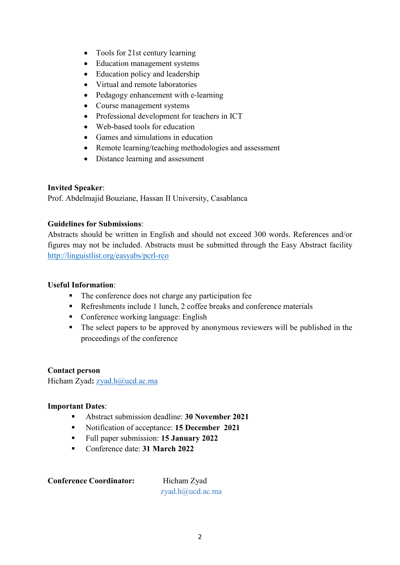- Tools for 21st century learning
- Education management systems
- Education policy and leadership
- Virtual and remote laboratories
- Pedagogy enhancement with e-learning
- Course management systems
- Professional development for teachers in ICT
- Web-based tools for education
- Games and simulations in education
- Remote learning/teaching methodologies and assessment
- Distance learning and assessment

#### **Invited Speaker**:

Prof. Abdelmajid Bouziane, Hassan II University, Casablanca

## **Guidelines for Submissions**:

Abstracts should be written in English and should not exceed 300 words. References and/or figures may not be included. Abstracts must be submitted through the Easy Abstract facility [http://linguistlist.org/easyabs/p](http://linguistlist.org/easyabs/4NCALS)crl-rco

#### **Useful Information**:

- The conference does not charge any participation fee
- Refreshments include 1 lunch, 2 coffee breaks and conference materials
- Conference working language: English
- The select papers to be approved by anonymous reviewers will be published in the proceedings of the conference

#### **Contact person**

Hicham Zyad: [zyad.h@ucd.ac.ma](mailto:zyad.h@ucd.ac.ma)

#### **Important Dates**:

- Abstract submission deadline: **30 November 2021**
- Notification of acceptance: **15 December 2021**
- Full paper submission: **15 January 2022**
- Conference date: **31 March 2022**

**Conference Coordinator:** Hicham Zyad

zyad.h@ucd.ac.ma